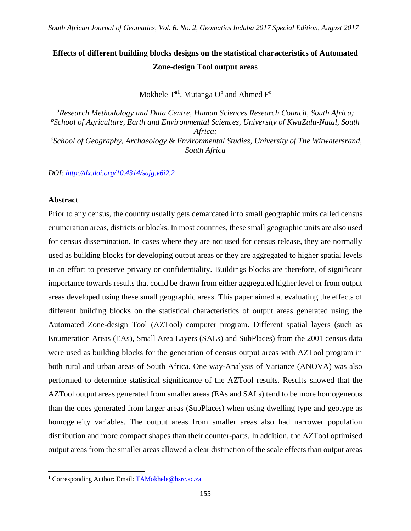# **Effects of different building blocks designs on the statistical characteristics of Automated Zone-design Tool output areas**

Mokhele  $T^{a_1}$ , Mutanga  $O^b$  and Ahmed  $F^c$ 

*<sup>a</sup>Research Methodology and Data Centre, Human Sciences Research Council, South Africa; b School of Agriculture, Earth and Environmental Sciences, University of KwaZulu-Natal, South Africa; c School of Geography, Archaeology & Environmental Studies, University of The Witwatersrand, South Africa*

*DOI:<http://dx.doi.org/10.4314/sajg.v6i2.2>*

# **Abstract**

 $\overline{\phantom{a}}$ 

Prior to any census, the country usually gets demarcated into small geographic units called census enumeration areas, districts or blocks. In most countries, these small geographic units are also used for census dissemination. In cases where they are not used for census release, they are normally used as building blocks for developing output areas or they are aggregated to higher spatial levels in an effort to preserve privacy or confidentiality. Buildings blocks are therefore, of significant importance towards results that could be drawn from either aggregated higher level or from output areas developed using these small geographic areas. This paper aimed at evaluating the effects of different building blocks on the statistical characteristics of output areas generated using the Automated Zone-design Tool (AZTool) computer program. Different spatial layers (such as Enumeration Areas (EAs), Small Area Layers (SALs) and SubPlaces) from the 2001 census data were used as building blocks for the generation of census output areas with AZTool program in both rural and urban areas of South Africa. One way-Analysis of Variance (ANOVA) was also performed to determine statistical significance of the AZTool results. Results showed that the AZTool output areas generated from smaller areas (EAs and SALs) tend to be more homogeneous than the ones generated from larger areas (SubPlaces) when using dwelling type and geotype as homogeneity variables. The output areas from smaller areas also had narrower population distribution and more compact shapes than their counter-parts. In addition, the AZTool optimised output areas from the smaller areas allowed a clear distinction of the scale effects than output areas

<sup>&</sup>lt;sup>1</sup> Corresponding Author: Email: [TAMokhele@hsrc.ac.za](mailto:TAMokhele@hsrc.ac.za)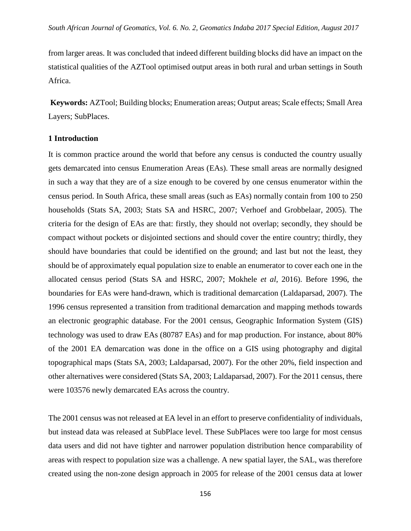from larger areas. It was concluded that indeed different building blocks did have an impact on the statistical qualities of the AZTool optimised output areas in both rural and urban settings in South Africa.

**Keywords:** AZTool; Building blocks; Enumeration areas; Output areas; Scale effects; Small Area Layers; SubPlaces.

# **1 Introduction**

It is common practice around the world that before any census is conducted the country usually gets demarcated into census Enumeration Areas (EAs). These small areas are normally designed in such a way that they are of a size enough to be covered by one census enumerator within the census period. In South Africa, these small areas (such as EAs) normally contain from 100 to 250 households (Stats SA, 2003; Stats SA and HSRC, 2007; Verhoef and Grobbelaar, 2005). The criteria for the design of EAs are that: firstly, they should not overlap; secondly, they should be compact without pockets or disjointed sections and should cover the entire country; thirdly, they should have boundaries that could be identified on the ground; and last but not the least, they should be of approximately equal population size to enable an enumerator to cover each one in the allocated census period (Stats SA and HSRC, 2007; Mokhele *et al*, 2016). Before 1996, the boundaries for EAs were hand-drawn, which is traditional demarcation (Laldaparsad, 2007). The 1996 census represented a transition from traditional demarcation and mapping methods towards an electronic geographic database. For the 2001 census, Geographic Information System (GIS) technology was used to draw EAs (80787 EAs) and for map production. For instance, about 80% of the 2001 EA demarcation was done in the office on a GIS using photography and digital topographical maps (Stats SA, 2003; Laldaparsad, 2007). For the other 20%, field inspection and other alternatives were considered (Stats SA, 2003; Laldaparsad, 2007). For the 2011 census, there were 103576 newly demarcated EAs across the country.

The 2001 census was not released at EA level in an effort to preserve confidentiality of individuals, but instead data was released at SubPlace level. These SubPlaces were too large for most census data users and did not have tighter and narrower population distribution hence comparability of areas with respect to population size was a challenge. A new spatial layer, the SAL, was therefore created using the non-zone design approach in 2005 for release of the 2001 census data at lower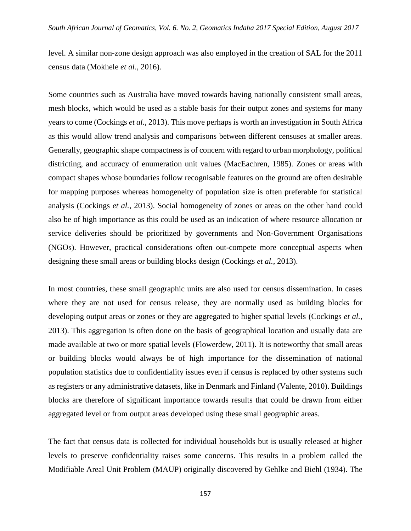level. A similar non-zone design approach was also employed in the creation of SAL for the 2011 census data (Mokhele *et al.*, 2016).

Some countries such as Australia have moved towards having nationally consistent small areas, mesh blocks, which would be used as a stable basis for their output zones and systems for many years to come (Cockings *et al.*, 2013). This move perhaps is worth an investigation in South Africa as this would allow trend analysis and comparisons between different censuses at smaller areas. Generally, geographic shape compactness is of concern with regard to urban morphology, political districting, and accuracy of enumeration unit values (MacEachren, 1985). Zones or areas with compact shapes whose boundaries follow recognisable features on the ground are often desirable for mapping purposes whereas homogeneity of population size is often preferable for statistical analysis (Cockings *et al.*, 2013). Social homogeneity of zones or areas on the other hand could also be of high importance as this could be used as an indication of where resource allocation or service deliveries should be prioritized by governments and Non-Government Organisations (NGOs). However, practical considerations often out-compete more conceptual aspects when designing these small areas or building blocks design (Cockings *et al.*, 2013).

In most countries, these small geographic units are also used for census dissemination. In cases where they are not used for census release, they are normally used as building blocks for developing output areas or zones or they are aggregated to higher spatial levels (Cockings *et al.*, 2013). This aggregation is often done on the basis of geographical location and usually data are made available at two or more spatial levels (Flowerdew, 2011). It is noteworthy that small areas or building blocks would always be of high importance for the dissemination of national population statistics due to confidentiality issues even if census is replaced by other systems such as registers or any administrative datasets, like in Denmark and Finland (Valente, 2010). Buildings blocks are therefore of significant importance towards results that could be drawn from either aggregated level or from output areas developed using these small geographic areas.

The fact that census data is collected for individual households but is usually released at higher levels to preserve confidentiality raises some concerns. This results in a problem called the Modifiable Areal Unit Problem (MAUP) originally discovered by Gehlke and Biehl (1934). The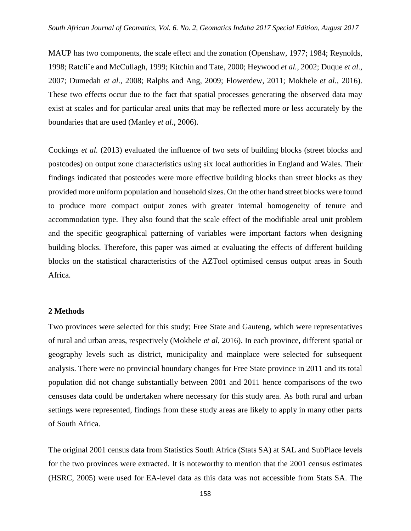MAUP has two components, the scale effect and the zonation (Openshaw, 1977; 1984; Reynolds, 1998; Ratcli¨e and McCullagh, 1999; Kitchin and Tate, 2000; Heywood *et al.*, 2002; Duque *et al.*, 2007; Dumedah *et al.*, 2008; Ralphs and Ang, 2009; Flowerdew, 2011; Mokhele *et al.*, 2016). These two effects occur due to the fact that spatial processes generating the observed data may exist at scales and for particular areal units that may be reflected more or less accurately by the boundaries that are used (Manley *et al.*, 2006).

Cockings *et al.* (2013) evaluated the influence of two sets of building blocks (street blocks and postcodes) on output zone characteristics using six local authorities in England and Wales. Their findings indicated that postcodes were more effective building blocks than street blocks as they provided more uniform population and household sizes. On the other hand street blocks were found to produce more compact output zones with greater internal homogeneity of tenure and accommodation type. They also found that the scale effect of the modifiable areal unit problem and the specific geographical patterning of variables were important factors when designing building blocks. Therefore, this paper was aimed at evaluating the effects of different building blocks on the statistical characteristics of the AZTool optimised census output areas in South Africa.

# **2 Methods**

Two provinces were selected for this study; Free State and Gauteng, which were representatives of rural and urban areas, respectively (Mokhele *et al*, 2016). In each province, different spatial or geography levels such as district, municipality and mainplace were selected for subsequent analysis. There were no provincial boundary changes for Free State province in 2011 and its total population did not change substantially between 2001 and 2011 hence comparisons of the two censuses data could be undertaken where necessary for this study area. As both rural and urban settings were represented, findings from these study areas are likely to apply in many other parts of South Africa.

The original 2001 census data from Statistics South Africa (Stats SA) at SAL and SubPlace levels for the two provinces were extracted. It is noteworthy to mention that the 2001 census estimates (HSRC, 2005) were used for EA-level data as this data was not accessible from Stats SA. The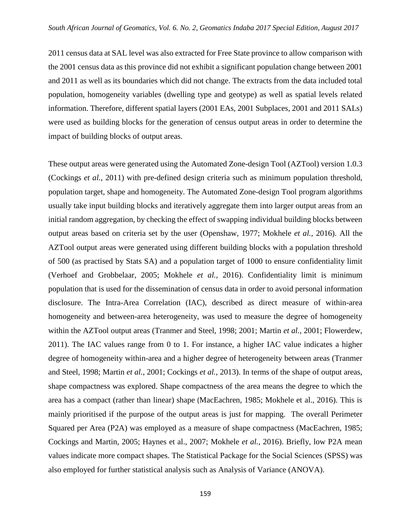2011 census data at SAL level was also extracted for Free State province to allow comparison with the 2001 census data as this province did not exhibit a significant population change between 2001 and 2011 as well as its boundaries which did not change. The extracts from the data included total population, homogeneity variables (dwelling type and geotype) as well as spatial levels related information. Therefore, different spatial layers (2001 EAs, 2001 Subplaces, 2001 and 2011 SALs) were used as building blocks for the generation of census output areas in order to determine the impact of building blocks of output areas.

These output areas were generated using the Automated Zone-design Tool (AZTool) version 1.0.3 (Cockings *et al.*, 2011) with pre-defined design criteria such as minimum population threshold, population target, shape and homogeneity. The Automated Zone-design Tool program algorithms usually take input building blocks and iteratively aggregate them into larger output areas from an initial random aggregation, by checking the effect of swapping individual building blocks between output areas based on criteria set by the user (Openshaw, 1977; Mokhele *et al.,* 2016). All the AZTool output areas were generated using different building blocks with a population threshold of 500 (as practised by Stats SA) and a population target of 1000 to ensure confidentiality limit (Verhoef and Grobbelaar, 2005; Mokhele *et al.,* 2016). Confidentiality limit is minimum population that is used for the dissemination of census data in order to avoid personal information disclosure. The Intra-Area Correlation (IAC), described as direct measure of within-area homogeneity and between-area heterogeneity, was used to measure the degree of homogeneity within the AZTool output areas (Tranmer and Steel, 1998; 2001; Martin *et al.*, 2001; Flowerdew, 2011). The IAC values range from 0 to 1. For instance, a higher IAC value indicates a higher degree of homogeneity within-area and a higher degree of heterogeneity between areas (Tranmer and Steel, 1998; Martin *et al.*, 2001; Cockings *et al.*, 2013). In terms of the shape of output areas, shape compactness was explored. Shape compactness of the area means the degree to which the area has a compact (rather than linear) shape (MacEachren, 1985; Mokhele et al., 2016). This is mainly prioritised if the purpose of the output areas is just for mapping. The overall Perimeter Squared per Area (P2A) was employed as a measure of shape compactness (MacEachren, 1985; Cockings and Martin, 2005; Haynes et al., 2007; Mokhele *et al.*, 2016). Briefly, low P2A mean values indicate more compact shapes. The Statistical Package for the Social Sciences (SPSS) was also employed for further statistical analysis such as Analysis of Variance (ANOVA).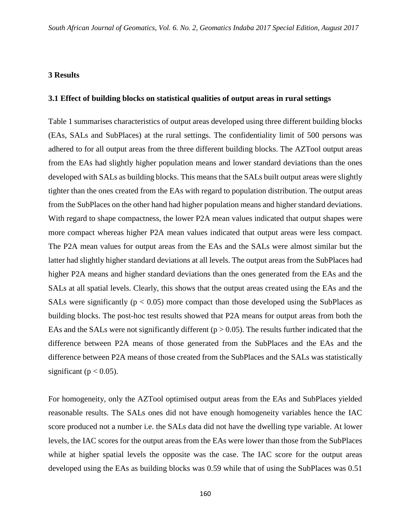#### **3 Results**

#### **3.1 Effect of building blocks on statistical qualities of output areas in rural settings**

Table 1 summarises characteristics of output areas developed using three different building blocks (EAs, SALs and SubPlaces) at the rural settings. The confidentiality limit of 500 persons was adhered to for all output areas from the three different building blocks. The AZTool output areas from the EAs had slightly higher population means and lower standard deviations than the ones developed with SALs as building blocks. This means that the SALs built output areas were slightly tighter than the ones created from the EAs with regard to population distribution. The output areas from the SubPlaces on the other hand had higher population means and higher standard deviations. With regard to shape compactness, the lower P2A mean values indicated that output shapes were more compact whereas higher P2A mean values indicated that output areas were less compact. The P2A mean values for output areas from the EAs and the SALs were almost similar but the latter had slightly higher standard deviations at all levels. The output areas from the SubPlaces had higher P2A means and higher standard deviations than the ones generated from the EAs and the SALs at all spatial levels. Clearly, this shows that the output areas created using the EAs and the SALs were significantly ( $p < 0.05$ ) more compact than those developed using the SubPlaces as building blocks. The post-hoc test results showed that P2A means for output areas from both the EAs and the SALs were not significantly different ( $p > 0.05$ ). The results further indicated that the difference between P2A means of those generated from the SubPlaces and the EAs and the difference between P2A means of those created from the SubPlaces and the SALs was statistically significant ( $p < 0.05$ ).

For homogeneity, only the AZTool optimised output areas from the EAs and SubPlaces yielded reasonable results. The SALs ones did not have enough homogeneity variables hence the IAC score produced not a number i.e. the SALs data did not have the dwelling type variable. At lower levels, the IAC scores for the output areas from the EAs were lower than those from the SubPlaces while at higher spatial levels the opposite was the case. The IAC score for the output areas developed using the EAs as building blocks was 0.59 while that of using the SubPlaces was 0.51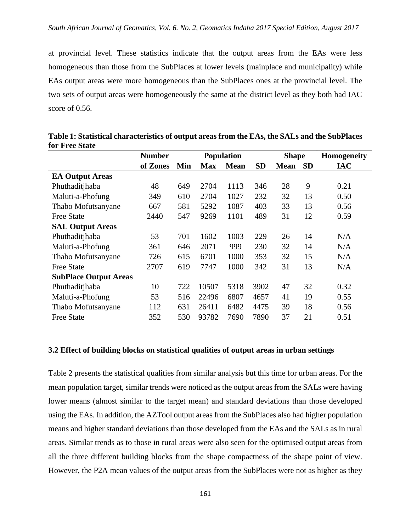at provincial level. These statistics indicate that the output areas from the EAs were less homogeneous than those from the SubPlaces at lower levels (mainplace and municipality) while EAs output areas were more homogeneous than the SubPlaces ones at the provincial level. The two sets of output areas were homogeneously the same at the district level as they both had IAC score of 0.56.

|                              | <b>Number</b><br><b>Population</b> |     |            | <b>Shape</b> |           | Homogeneity |           |            |
|------------------------------|------------------------------------|-----|------------|--------------|-----------|-------------|-----------|------------|
|                              | of Zones                           | Min | <b>Max</b> | <b>Mean</b>  | <b>SD</b> | <b>Mean</b> | <b>SD</b> | <b>IAC</b> |
| <b>EA Output Areas</b>       |                                    |     |            |              |           |             |           |            |
| Phuthaditjhaba               | 48                                 | 649 | 2704       | 1113         | 346       | 28          | 9         | 0.21       |
| Maluti-a-Phofung             | 349                                | 610 | 2704       | 1027         | 232       | 32          | 13        | 0.50       |
| Thabo Mofutsanyane           | 667                                | 581 | 5292       | 1087         | 403       | 33          | 13        | 0.56       |
| <b>Free State</b>            | 2440                               | 547 | 9269       | 1101         | 489       | 31          | 12        | 0.59       |
| <b>SAL Output Areas</b>      |                                    |     |            |              |           |             |           |            |
| Phuthaditjhaba               | 53                                 | 701 | 1602       | 1003         | 229       | 26          | 14        | N/A        |
| Maluti-a-Phofung             | 361                                | 646 | 2071       | 999          | 230       | 32          | 14        | N/A        |
| Thabo Mofutsanyane           | 726                                | 615 | 6701       | 1000         | 353       | 32          | 15        | N/A        |
| <b>Free State</b>            | 2707                               | 619 | 7747       | 1000         | 342       | 31          | 13        | N/A        |
| <b>SubPlace Output Areas</b> |                                    |     |            |              |           |             |           |            |
| Phuthaditjhaba               | 10                                 | 722 | 10507      | 5318         | 3902      | 47          | 32        | 0.32       |
| Maluti-a-Phofung             | 53                                 | 516 | 22496      | 6807         | 4657      | 41          | 19        | 0.55       |
| Thabo Mofutsanyane           | 112                                | 631 | 26411      | 6482         | 4475      | 39          | 18        | 0.56       |
| <b>Free State</b>            | 352                                | 530 | 93782      | 7690         | 7890      | 37          | 21        | 0.51       |

**Table 1: Statistical characteristics of output areas from the EAs, the SALs and the SubPlaces for Free State**

# **3.2 Effect of building blocks on statistical qualities of output areas in urban settings**

Table 2 presents the statistical qualities from similar analysis but this time for urban areas. For the mean population target, similar trends were noticed as the output areas from the SALs were having lower means (almost similar to the target mean) and standard deviations than those developed using the EAs. In addition, the AZTool output areas from the SubPlaces also had higher population means and higher standard deviations than those developed from the EAs and the SALs as in rural areas. Similar trends as to those in rural areas were also seen for the optimised output areas from all the three different building blocks from the shape compactness of the shape point of view. However, the P2A mean values of the output areas from the SubPlaces were not as higher as they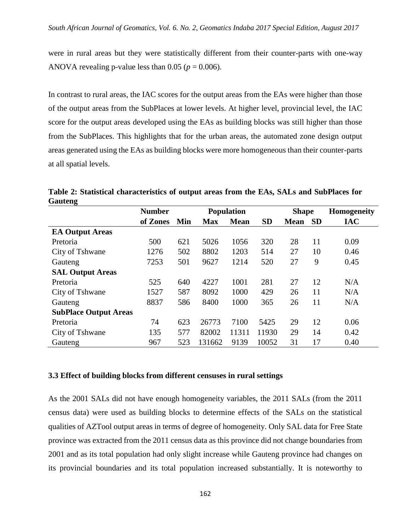were in rural areas but they were statistically different from their counter-parts with one-way ANOVA revealing p-value less than  $0.05$  ( $p = 0.006$ ).

In contrast to rural areas, the IAC scores for the output areas from the EAs were higher than those of the output areas from the SubPlaces at lower levels. At higher level, provincial level, the IAC score for the output areas developed using the EAs as building blocks was still higher than those from the SubPlaces. This highlights that for the urban areas, the automated zone design output areas generated using the EAs as building blocks were more homogeneous than their counter-parts at all spatial levels.

**Table 2: Statistical characteristics of output areas from the EAs, SALs and SubPlaces for Gauteng**

|                              | <b>Number</b> |     |            | <b>Population</b> |           |             | <b>Shape</b> | Homogeneity |
|------------------------------|---------------|-----|------------|-------------------|-----------|-------------|--------------|-------------|
|                              | of Zones      | Min | <b>Max</b> | <b>Mean</b>       | <b>SD</b> | <b>Mean</b> | <b>SD</b>    | <b>IAC</b>  |
| <b>EA Output Areas</b>       |               |     |            |                   |           |             |              |             |
| Pretoria                     | 500           | 621 | 5026       | 1056              | 320       | 28          | 11           | 0.09        |
| City of Tshwane              | 1276          | 502 | 8802       | 1203              | 514       | 27          | 10           | 0.46        |
| Gauteng                      | 7253          | 501 | 9627       | 1214              | 520       | 27          | 9            | 0.45        |
| <b>SAL Output Areas</b>      |               |     |            |                   |           |             |              |             |
| Pretoria                     | 525           | 640 | 4227       | 1001              | 281       | 27          | 12           | N/A         |
| City of Tshwane              | 1527          | 587 | 8092       | 1000              | 429       | 26          | 11           | N/A         |
| Gauteng                      | 8837          | 586 | 8400       | 1000              | 365       | 26          | 11           | N/A         |
| <b>SubPlace Output Areas</b> |               |     |            |                   |           |             |              |             |
| Pretoria                     | 74            | 623 | 26773      | 7100              | 5425      | 29          | 12           | 0.06        |
| City of Tshwane              | 135           | 577 | 82002      | 11311             | 11930     | 29          | 14           | 0.42        |
| Gauteng                      | 967           | 523 | 131662     | 9139              | 10052     | 31          | 17           | 0.40        |

## **3.3 Effect of building blocks from different censuses in rural settings**

As the 2001 SALs did not have enough homogeneity variables, the 2011 SALs (from the 2011 census data) were used as building blocks to determine effects of the SALs on the statistical qualities of AZTool output areas in terms of degree of homogeneity. Only SAL data for Free State province was extracted from the 2011 census data as this province did not change boundaries from 2001 and as its total population had only slight increase while Gauteng province had changes on its provincial boundaries and its total population increased substantially. It is noteworthy to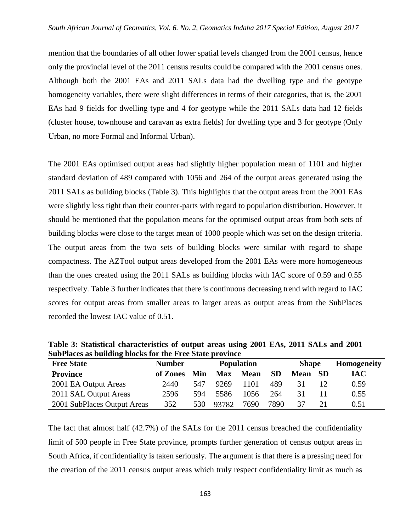mention that the boundaries of all other lower spatial levels changed from the 2001 census, hence only the provincial level of the 2011 census results could be compared with the 2001 census ones. Although both the 2001 EAs and 2011 SALs data had the dwelling type and the geotype homogeneity variables, there were slight differences in terms of their categories, that is, the 2001 EAs had 9 fields for dwelling type and 4 for geotype while the 2011 SALs data had 12 fields (cluster house, townhouse and caravan as extra fields) for dwelling type and 3 for geotype (Only Urban, no more Formal and Informal Urban).

The 2001 EAs optimised output areas had slightly higher population mean of 1101 and higher standard deviation of 489 compared with 1056 and 264 of the output areas generated using the 2011 SALs as building blocks (Table 3). This highlights that the output areas from the 2001 EAs were slightly less tight than their counter-parts with regard to population distribution. However, it should be mentioned that the population means for the optimised output areas from both sets of building blocks were close to the target mean of 1000 people which was set on the design criteria. The output areas from the two sets of building blocks were similar with regard to shape compactness. The AZTool output areas developed from the 2001 EAs were more homogeneous than the ones created using the 2011 SALs as building blocks with IAC score of 0.59 and 0.55 respectively. Table 3 further indicates that there is continuous decreasing trend with regard to IAC scores for output areas from smaller areas to larger areas as output areas from the SubPlaces recorded the lowest IAC value of 0.51.

| Sublimeter as building blocks for the Free State province |               |     |                   |             |           |              |  |                    |  |
|-----------------------------------------------------------|---------------|-----|-------------------|-------------|-----------|--------------|--|--------------------|--|
| <b>Free State</b>                                         | <b>Number</b> |     | <b>Population</b> |             |           | <b>Shape</b> |  | <b>Homogeneity</b> |  |
| <b>Province</b>                                           | of Zones      | Min | <b>Max</b>        | <b>Mean</b> | <b>SD</b> | Mean SD      |  | <b>IAC</b>         |  |
| 2001 EA Output Areas                                      | 2440          | 547 | 9269              | 1101        | 489       | 31           |  | 0.59               |  |
| 2011 SAL Output Areas                                     | 2596          | 594 | 5586              | 1056        | 264       | 31           |  | 0.55               |  |
| 2001 SubPlaces Output Areas                               | 352           | 530 | 93782             | 7690        | 7890      | 37           |  | 0.51               |  |

**Table 3: Statistical characteristics of output areas using 2001 EAs, 2011 SALs and 2001 SubPlaces as building blocks for the Free State province**

The fact that almost half (42.7%) of the SALs for the 2011 census breached the confidentiality limit of 500 people in Free State province, prompts further generation of census output areas in South Africa, if confidentiality is taken seriously. The argument is that there is a pressing need for the creation of the 2011 census output areas which truly respect confidentiality limit as much as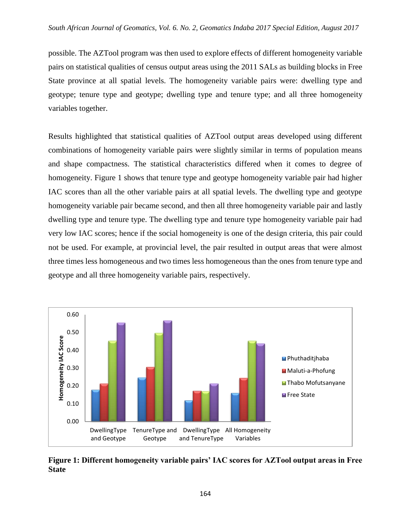possible. The AZTool program was then used to explore effects of different homogeneity variable pairs on statistical qualities of census output areas using the 2011 SALs as building blocks in Free State province at all spatial levels. The homogeneity variable pairs were: dwelling type and geotype; tenure type and geotype; dwelling type and tenure type; and all three homogeneity variables together.

Results highlighted that statistical qualities of AZTool output areas developed using different combinations of homogeneity variable pairs were slightly similar in terms of population means and shape compactness. The statistical characteristics differed when it comes to degree of homogeneity. Figure 1 shows that tenure type and geotype homogeneity variable pair had higher IAC scores than all the other variable pairs at all spatial levels. The dwelling type and geotype homogeneity variable pair became second, and then all three homogeneity variable pair and lastly dwelling type and tenure type. The dwelling type and tenure type homogeneity variable pair had very low IAC scores; hence if the social homogeneity is one of the design criteria, this pair could not be used. For example, at provincial level, the pair resulted in output areas that were almost three times less homogeneous and two times less homogeneous than the ones from tenure type and geotype and all three homogeneity variable pairs, respectively.



**Figure 1: Different homogeneity variable pairs' IAC scores for AZTool output areas in Free State**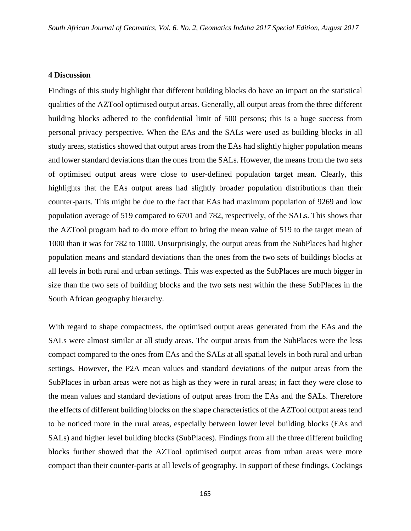#### **4 Discussion**

Findings of this study highlight that different building blocks do have an impact on the statistical qualities of the AZTool optimised output areas. Generally, all output areas from the three different building blocks adhered to the confidential limit of 500 persons; this is a huge success from personal privacy perspective. When the EAs and the SALs were used as building blocks in all study areas, statistics showed that output areas from the EAs had slightly higher population means and lower standard deviations than the ones from the SALs. However, the means from the two sets of optimised output areas were close to user-defined population target mean. Clearly, this highlights that the EAs output areas had slightly broader population distributions than their counter-parts. This might be due to the fact that EAs had maximum population of 9269 and low population average of 519 compared to 6701 and 782, respectively, of the SALs. This shows that the AZTool program had to do more effort to bring the mean value of 519 to the target mean of 1000 than it was for 782 to 1000. Unsurprisingly, the output areas from the SubPlaces had higher population means and standard deviations than the ones from the two sets of buildings blocks at all levels in both rural and urban settings. This was expected as the SubPlaces are much bigger in size than the two sets of building blocks and the two sets nest within the these SubPlaces in the South African geography hierarchy.

With regard to shape compactness, the optimised output areas generated from the EAs and the SALs were almost similar at all study areas. The output areas from the SubPlaces were the less compact compared to the ones from EAs and the SALs at all spatial levels in both rural and urban settings. However, the P2A mean values and standard deviations of the output areas from the SubPlaces in urban areas were not as high as they were in rural areas; in fact they were close to the mean values and standard deviations of output areas from the EAs and the SALs. Therefore the effects of different building blocks on the shape characteristics of the AZTool output areas tend to be noticed more in the rural areas, especially between lower level building blocks (EAs and SALs) and higher level building blocks (SubPlaces). Findings from all the three different building blocks further showed that the AZTool optimised output areas from urban areas were more compact than their counter-parts at all levels of geography. In support of these findings, Cockings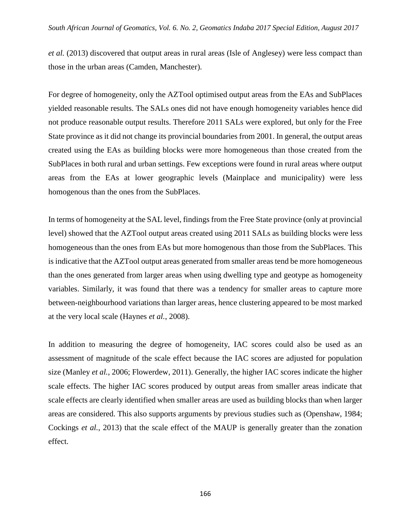*et al.* (2013) discovered that output areas in rural areas (Isle of Anglesey) were less compact than those in the urban areas (Camden, Manchester).

For degree of homogeneity, only the AZTool optimised output areas from the EAs and SubPlaces yielded reasonable results. The SALs ones did not have enough homogeneity variables hence did not produce reasonable output results. Therefore 2011 SALs were explored, but only for the Free State province as it did not change its provincial boundaries from 2001. In general, the output areas created using the EAs as building blocks were more homogeneous than those created from the SubPlaces in both rural and urban settings. Few exceptions were found in rural areas where output areas from the EAs at lower geographic levels (Mainplace and municipality) were less homogenous than the ones from the SubPlaces.

In terms of homogeneity at the SAL level, findings from the Free State province (only at provincial level) showed that the AZTool output areas created using 2011 SALs as building blocks were less homogeneous than the ones from EAs but more homogenous than those from the SubPlaces. This is indicative that the AZTool output areas generated from smaller areas tend be more homogeneous than the ones generated from larger areas when using dwelling type and geotype as homogeneity variables. Similarly, it was found that there was a tendency for smaller areas to capture more between-neighbourhood variations than larger areas, hence clustering appeared to be most marked at the very local scale (Haynes *et al.*, 2008).

In addition to measuring the degree of homogeneity, IAC scores could also be used as an assessment of magnitude of the scale effect because the IAC scores are adjusted for population size (Manley *et al.*, 2006; Flowerdew, 2011). Generally, the higher IAC scores indicate the higher scale effects. The higher IAC scores produced by output areas from smaller areas indicate that scale effects are clearly identified when smaller areas are used as building blocks than when larger areas are considered. This also supports arguments by previous studies such as (Openshaw, 1984; Cockings *et al.*, 2013) that the scale effect of the MAUP is generally greater than the zonation effect.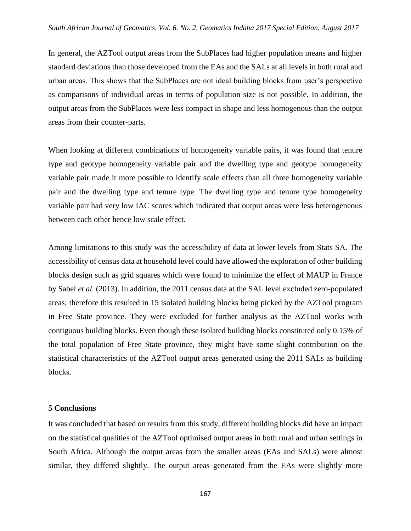In general, the AZTool output areas from the SubPlaces had higher population means and higher standard deviations than those developed from the EAs and the SALs at all levels in both rural and urban areas. This shows that the SubPlaces are not ideal building blocks from user's perspective as comparisons of individual areas in terms of population size is not possible. In addition, the output areas from the SubPlaces were less compact in shape and less homogenous than the output areas from their counter-parts.

When looking at different combinations of homogeneity variable pairs, it was found that tenure type and geotype homogeneity variable pair and the dwelling type and geotype homogeneity variable pair made it more possible to identify scale effects than all three homogeneity variable pair and the dwelling type and tenure type. The dwelling type and tenure type homogeneity variable pair had very low IAC scores which indicated that output areas were less heterogeneous between each other hence low scale effect.

Among limitations to this study was the accessibility of data at lower levels from Stats SA. The accessibility of census data at household level could have allowed the exploration of other building blocks design such as grid squares which were found to minimize the effect of MAUP in France by Sabel *et al.* (2013). In addition, the 2011 census data at the SAL level excluded zero-populated areas; therefore this resulted in 15 isolated building blocks being picked by the AZTool program in Free State province. They were excluded for further analysis as the AZTool works with contiguous building blocks. Even though these isolated building blocks constituted only 0.15% of the total population of Free State province, they might have some slight contribution on the statistical characteristics of the AZTool output areas generated using the 2011 SALs as building blocks.

## **5 Conclusions**

It was concluded that based on results from this study, different building blocks did have an impact on the statistical qualities of the AZTool optimised output areas in both rural and urban settings in South Africa. Although the output areas from the smaller areas (EAs and SALs) were almost similar, they differed slightly. The output areas generated from the EAs were slightly more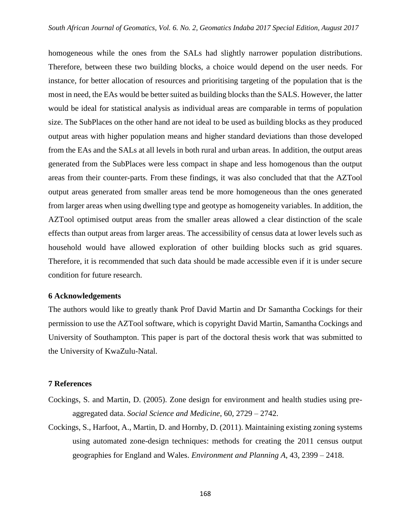homogeneous while the ones from the SALs had slightly narrower population distributions. Therefore, between these two building blocks, a choice would depend on the user needs. For instance, for better allocation of resources and prioritising targeting of the population that is the most in need, the EAs would be better suited as building blocks than the SALS. However, the latter would be ideal for statistical analysis as individual areas are comparable in terms of population size. The SubPlaces on the other hand are not ideal to be used as building blocks as they produced output areas with higher population means and higher standard deviations than those developed from the EAs and the SALs at all levels in both rural and urban areas. In addition, the output areas generated from the SubPlaces were less compact in shape and less homogenous than the output areas from their counter-parts. From these findings, it was also concluded that that the AZTool output areas generated from smaller areas tend be more homogeneous than the ones generated from larger areas when using dwelling type and geotype as homogeneity variables. In addition, the AZTool optimised output areas from the smaller areas allowed a clear distinction of the scale effects than output areas from larger areas. The accessibility of census data at lower levels such as household would have allowed exploration of other building blocks such as grid squares. Therefore, it is recommended that such data should be made accessible even if it is under secure condition for future research.

#### **6 Acknowledgements**

The authors would like to greatly thank Prof David Martin and Dr Samantha Cockings for their permission to use the AZTool software, which is copyright David Martin, Samantha Cockings and University of Southampton. This paper is part of the doctoral thesis work that was submitted to the University of KwaZulu-Natal.

# **7 References**

- Cockings, S. and Martin, D. (2005). Zone design for environment and health studies using preaggregated data. *Social Science and Medicine*, 60, 2729 – 2742.
- Cockings, S., Harfoot, A., Martin, D. and Hornby, D. (2011). Maintaining existing zoning systems using automated zone-design techniques: methods for creating the 2011 census output geographies for England and Wales. *Environment and Planning A*, 43, 2399 – 2418.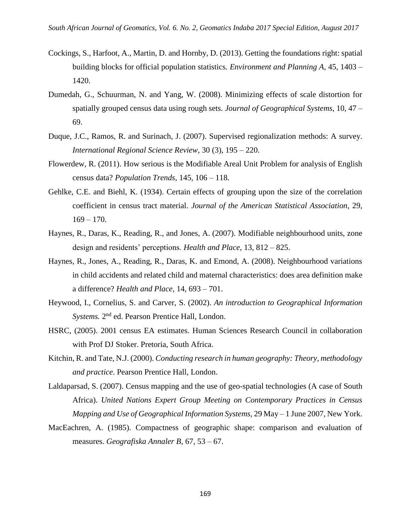- Cockings, S., Harfoot, A., Martin, D. and Hornby, D. (2013). Getting the foundations right: spatial building blocks for official population statistics. *Environment and Planning A*, 45, 1403 – 1420.
- Dumedah, G., Schuurman, N. and Yang, W. (2008). Minimizing effects of scale distortion for spatially grouped census data using rough sets. *Journal of Geographical Systems*, 10, 47 – 69.
- Duque, J.C., Ramos, R. and Surinach, J. (2007). Supervised regionalization methods: A survey. *International Regional Science Review,* 30 (3), 195 – 220.
- Flowerdew, R. (2011). How serious is the Modifiable Areal Unit Problem for analysis of English census data? *Population Trends*, 145, 106 – 118.
- Gehlke, C.E. and Biehl, K. (1934). Certain effects of grouping upon the size of the correlation coefficient in census tract material. *Journal of the American Statistical Association*, 29,  $169 - 170.$
- Haynes, R., Daras, K., Reading, R., and Jones, A. (2007). Modifiable neighbourhood units, zone design and residents' perceptions. *Health and Place*, 13, 812 – 825.
- Haynes, R., Jones, A., Reading, R., Daras, K. and Emond, A. (2008). Neighbourhood variations in child accidents and related child and maternal characteristics: does area definition make a difference? *Health and Place,* 14, 693 – 701.
- Heywood, I., Cornelius, S. and Carver, S. (2002). *An introduction to Geographical Information*  Systems. 2<sup>nd</sup> ed. Pearson Prentice Hall, London.
- HSRC, (2005). 2001 census EA estimates. Human Sciences Research Council in collaboration with Prof DJ Stoker. Pretoria, South Africa.
- Kitchin, R. and Tate, N.J. (2000). *Conducting research in human geography: Theory, methodology and practice*. Pearson Prentice Hall, London.
- Laldaparsad, S. (2007). Census mapping and the use of geo-spatial technologies (A case of South Africa). *United Nations Expert Group Meeting on Contemporary Practices in Census Mapping and Use of Geographical Information Systems,* 29 May – 1 June 2007, New York.
- MacEachren, A. (1985). Compactness of geographic shape: comparison and evaluation of measures. *Geografiska Annaler B,* 67, 53 – 67.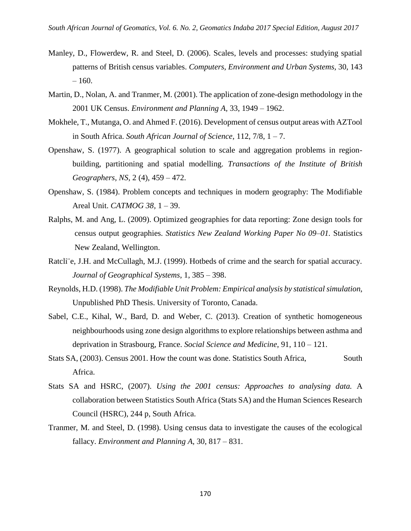- Manley, D., Flowerdew, R. and Steel, D. (2006). Scales, levels and processes: studying spatial patterns of British census variables. *Computers, Environment and Urban Systems,* 30, 143  $-160.$
- Martin, D., Nolan, A. and Tranmer, M. (2001). The application of zone-design methodology in the 2001 UK Census. *Environment and Planning A,* 33, 1949 – 1962.
- Mokhele, T., Mutanga, O. and Ahmed F. (2016). Development of census output areas with AZTool in South Africa. *South African Journal of Science*, 112, 7/8, 1 – 7.
- Openshaw, S. (1977). A geographical solution to scale and aggregation problems in regionbuilding, partitioning and spatial modelling. *Transactions of the Institute of British Geographers, NS,* 2 (4), 459 – 472.
- Openshaw, S. (1984). Problem concepts and techniques in modern geography: The Modifiable Areal Unit. *CATMOG 38,* 1 – 39.
- Ralphs, M. and Ang, L. (2009). Optimized geographies for data reporting: Zone design tools for census output geographies. *Statistics New Zealand Working Paper No 09–01.* Statistics New Zealand, Wellington.
- Ratclive, J.H. and McCullagh, M.J. (1999). Hotbeds of crime and the search for spatial accuracy. *Journal of Geographical Systems*, 1, 385 – 398.
- Reynolds, H.D. (1998). *The Modifiable Unit Problem: Empirical analysis by statistical simulation,* Unpublished PhD Thesis. University of Toronto, Canada.
- Sabel, C.E., Kihal, W., Bard, D. and Weber, C. (2013). Creation of synthetic homogeneous neighbourhoods using zone design algorithms to explore relationships between asthma and deprivation in Strasbourg, France. *Social Science and Medicine*, 91, 110 – 121.
- Stats SA, (2003). Census 2001. How the count was done. Statistics South Africa, South Africa.
- Stats SA and HSRC, (2007). *Using the 2001 census: Approaches to analysing data.* A collaboration between Statistics South Africa (Stats SA) and the Human Sciences Research Council (HSRC), 244 p, South Africa.
- Tranmer, M. and Steel, D. (1998). Using census data to investigate the causes of the ecological fallacy. *Environment and Planning A*, 30, 817 – 831.